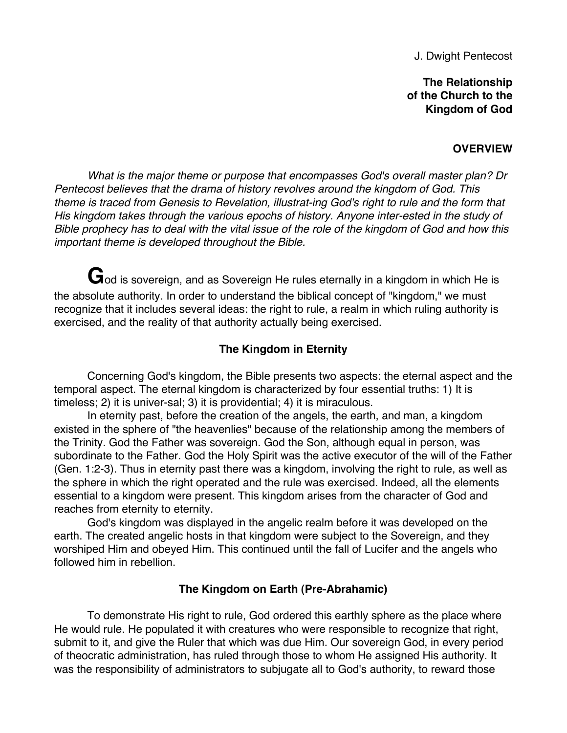J. Dwight Pentecost

**The Relationship of the Church to the Kingdom of God**

# **OVERVIEW**

What is the major theme or purpose that encompasses God's overall master plan? Dr Pentecost believes that the drama of history revolves around the kingdom of God. This theme is traced from Genesis to Revelation, illustrat-ing God's right to rule and the form that His kingdom takes through the various epochs of history. Anyone inter-ested in the study of Bible prophecy has to deal with the vital issue of the role of the kingdom of God and how this important theme is developed throughout the Bible.

**G**od is sovereign, and as Sovereign He rules eternally in a kingdom in which He is the absolute authority. In order to understand the biblical concept of "kingdom," we must recognize that it includes several ideas: the right to rule, a realm in which ruling authority is exercised, and the reality of that authority actually being exercised.

## **The Kingdom in Eternity**

Concerning God's kingdom, the Bible presents two aspects: the eternal aspect and the temporal aspect. The eternal kingdom is characterized by four essential truths: 1) It is timeless; 2) it is univer-sal; 3) it is providential; 4) it is miraculous.

In eternity past, before the creation of the angels, the earth, and man, a kingdom existed in the sphere of "the heavenlies" because of the relationship among the members of the Trinity. God the Father was sovereign. God the Son, although equal in person, was subordinate to the Father. God the Holy Spirit was the active executor of the will of the Father (Gen. 1:2-3). Thus in eternity past there was a kingdom, involving the right to rule, as well as the sphere in which the right operated and the rule was exercised. Indeed, all the elements essential to a kingdom were present. This kingdom arises from the character of God and reaches from eternity to eternity.

God's kingdom was displayed in the angelic realm before it was developed on the earth. The created angelic hosts in that kingdom were subject to the Sovereign, and they worshiped Him and obeyed Him. This continued until the fall of Lucifer and the angels who followed him in rebellion.

## **The Kingdom on Earth (Pre-Abrahamic)**

To demonstrate His right to rule, God ordered this earthly sphere as the place where He would rule. He populated it with creatures who were responsible to recognize that right, submit to it, and give the Ruler that which was due Him. Our sovereign God, in every period of theocratic administration, has ruled through those to whom He assigned His authority. It was the responsibility of administrators to subjugate all to God's authority, to reward those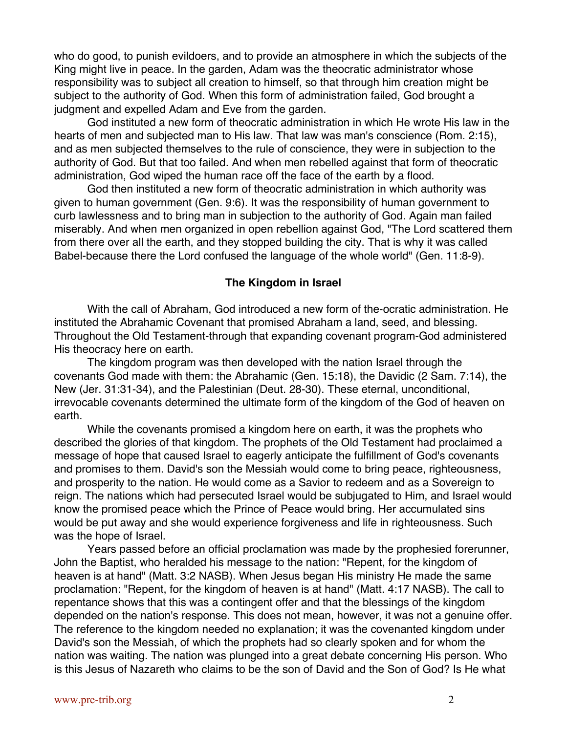who do good, to punish evildoers, and to provide an atmosphere in which the subjects of the King might live in peace. In the garden, Adam was the theocratic administrator whose responsibility was to subject all creation to himself, so that through him creation might be subject to the authority of God. When this form of administration failed, God brought a judgment and expelled Adam and Eve from the garden.

God instituted a new form of theocratic administration in which He wrote His law in the hearts of men and subjected man to His law. That law was man's conscience (Rom. 2:15), and as men subjected themselves to the rule of conscience, they were in subjection to the authority of God. But that too failed. And when men rebelled against that form of theocratic administration, God wiped the human race off the face of the earth by a flood.

God then instituted a new form of theocratic administration in which authority was given to human government (Gen. 9:6). It was the responsibility of human government to curb lawlessness and to bring man in subjection to the authority of God. Again man failed miserably. And when men organized in open rebellion against God, "The Lord scattered them from there over all the earth, and they stopped building the city. That is why it was called Babel-because there the Lord confused the language of the whole world" (Gen. 11:8-9).

## **The Kingdom in Israel**

With the call of Abraham, God introduced a new form of the-ocratic administration. He instituted the Abrahamic Covenant that promised Abraham a land, seed, and blessing. Throughout the Old Testament-through that expanding covenant program-God administered His theocracy here on earth.

The kingdom program was then developed with the nation Israel through the covenants God made with them: the Abrahamic (Gen. 15:18), the Davidic (2 Sam. 7:14), the New (Jer. 31:31-34), and the Palestinian (Deut. 28-30). These eternal, unconditional, irrevocable covenants determined the ultimate form of the kingdom of the God of heaven on earth.

While the covenants promised a kingdom here on earth, it was the prophets who described the glories of that kingdom. The prophets of the Old Testament had proclaimed a message of hope that caused Israel to eagerly anticipate the fulfillment of God's covenants and promises to them. David's son the Messiah would come to bring peace, righteousness, and prosperity to the nation. He would come as a Savior to redeem and as a Sovereign to reign. The nations which had persecuted Israel would be subjugated to Him, and Israel would know the promised peace which the Prince of Peace would bring. Her accumulated sins would be put away and she would experience forgiveness and life in righteousness. Such was the hope of Israel.

Years passed before an official proclamation was made by the prophesied forerunner, John the Baptist, who heralded his message to the nation: "Repent, for the kingdom of heaven is at hand" (Matt. 3:2 NASB). When Jesus began His ministry He made the same proclamation: "Repent, for the kingdom of heaven is at hand" (Matt. 4:17 NASB). The call to repentance shows that this was a contingent offer and that the blessings of the kingdom depended on the nation's response. This does not mean, however, it was not a genuine offer. The reference to the kingdom needed no explanation; it was the covenanted kingdom under David's son the Messiah, of which the prophets had so clearly spoken and for whom the nation was waiting. The nation was plunged into a great debate concerning His person. Who is this Jesus of Nazareth who claims to be the son of David and the Son of God? Is He what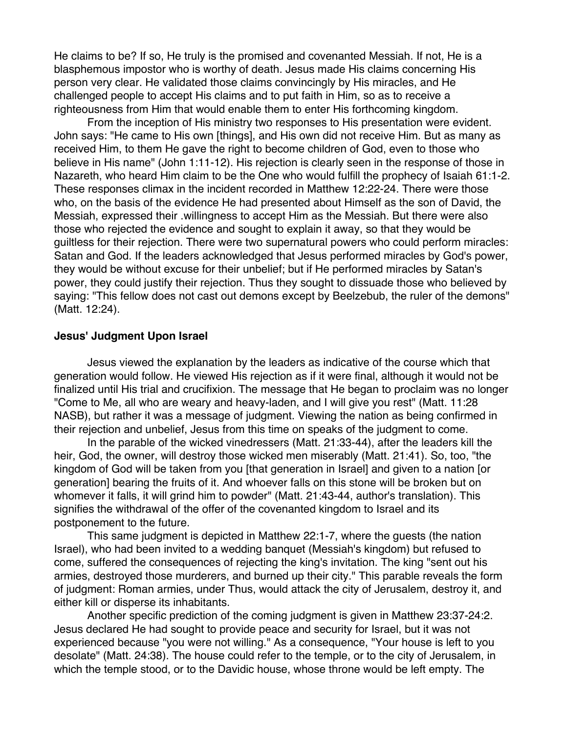He claims to be? If so, He truly is the promised and covenanted Messiah. If not, He is a blasphemous impostor who is worthy of death. Jesus made His claims concerning His person very clear. He validated those claims convincingly by His miracles, and He challenged people to accept His claims and to put faith in Him, so as to receive a righteousness from Him that would enable them to enter His forthcoming kingdom.

From the inception of His ministry two responses to His presentation were evident. John says: "He came to His own [things], and His own did not receive Him. But as many as received Him, to them He gave the right to become children of God, even to those who believe in His name" (John 1:11-12). His rejection is clearly seen in the response of those in Nazareth, who heard Him claim to be the One who would fulfill the prophecy of Isaiah 61:1-2. These responses climax in the incident recorded in Matthew 12:22-24. There were those who, on the basis of the evidence He had presented about Himself as the son of David, the Messiah, expressed their .willingness to accept Him as the Messiah. But there were also those who rejected the evidence and sought to explain it away, so that they would be guiltless for their rejection. There were two supernatural powers who could perform miracles: Satan and God. If the leaders acknowledged that Jesus performed miracles by God's power, they would be without excuse for their unbelief; but if He performed miracles by Satan's power, they could justify their rejection. Thus they sought to dissuade those who believed by saying: "This fellow does not cast out demons except by Beelzebub, the ruler of the demons" (Matt. 12:24).

## **Jesus' Judgment Upon Israel**

Jesus viewed the explanation by the leaders as indicative of the course which that generation would follow. He viewed His rejection as if it were final, although it would not be finalized until His trial and crucifixion. The message that He began to proclaim was no longer "Come to Me, all who are weary and heavy-laden, and I will give you rest" (Matt. 11:28 NASB), but rather it was a message of judgment. Viewing the nation as being confirmed in their rejection and unbelief, Jesus from this time on speaks of the judgment to come.

In the parable of the wicked vinedressers (Matt. 21:33-44), after the leaders kill the heir, God, the owner, will destroy those wicked men miserably (Matt. 21:41). So, too, "the kingdom of God will be taken from you [that generation in Israel] and given to a nation [or generation] bearing the fruits of it. And whoever falls on this stone will be broken but on whomever it falls, it will grind him to powder" (Matt. 21:43-44, author's translation). This signifies the withdrawal of the offer of the covenanted kingdom to Israel and its postponement to the future.

This same judgment is depicted in Matthew 22:1-7, where the guests (the nation Israel), who had been invited to a wedding banquet (Messiah's kingdom) but refused to come, suffered the consequences of rejecting the king's invitation. The king "sent out his armies, destroyed those murderers, and burned up their city." This parable reveals the form of judgment: Roman armies, under Thus, would attack the city of Jerusalem, destroy it, and either kill or disperse its inhabitants.

Another specific prediction of the coming judgment is given in Matthew 23:37-24:2. Jesus declared He had sought to provide peace and security for Israel, but it was not experienced because "you were not willing." As a consequence, "Your house is left to you desolate" (Matt. 24:38). The house could refer to the temple, or to the city of Jerusalem, in which the temple stood, or to the Davidic house, whose throne would be left empty. The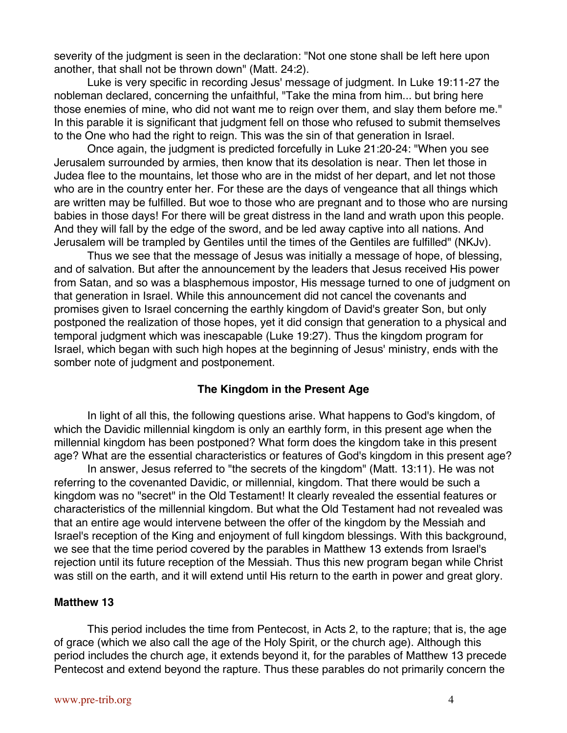severity of the judgment is seen in the declaration: "Not one stone shall be left here upon another, that shall not be thrown down" (Matt. 24:2).

Luke is very specific in recording Jesus' message of judgment. In Luke 19:11-27 the nobleman declared, concerning the unfaithful, "Take the mina from him... but bring here those enemies of mine, who did not want me to reign over them, and slay them before me." In this parable it is significant that judgment fell on those who refused to submit themselves to the One who had the right to reign. This was the sin of that generation in Israel.

Once again, the judgment is predicted forcefully in Luke 21:20-24: "When you see Jerusalem surrounded by armies, then know that its desolation is near. Then let those in Judea flee to the mountains, let those who are in the midst of her depart, and let not those who are in the country enter her. For these are the days of vengeance that all things which are written may be fulfilled. But woe to those who are pregnant and to those who are nursing babies in those days! For there will be great distress in the land and wrath upon this people. And they will fall by the edge of the sword, and be led away captive into all nations. And Jerusalem will be trampled by Gentiles until the times of the Gentiles are fulfilled" (NKJv).

Thus we see that the message of Jesus was initially a message of hope, of blessing, and of salvation. But after the announcement by the leaders that Jesus received His power from Satan, and so was a blasphemous impostor, His message turned to one of judgment on that generation in Israel. While this announcement did not cancel the covenants and promises given to Israel concerning the earthly kingdom of David's greater Son, but only postponed the realization of those hopes, yet it did consign that generation to a physical and temporal judgment which was inescapable (Luke 19:27). Thus the kingdom program for Israel, which began with such high hopes at the beginning of Jesus' ministry, ends with the somber note of judgment and postponement.

## **The Kingdom in the Present Age**

In light of all this, the following questions arise. What happens to God's kingdom, of which the Davidic millennial kingdom is only an earthly form, in this present age when the millennial kingdom has been postponed? What form does the kingdom take in this present age? What are the essential characteristics or features of God's kingdom in this present age?

In answer, Jesus referred to "the secrets of the kingdom" (Matt. 13:11). He was not referring to the covenanted Davidic, or millennial, kingdom. That there would be such a kingdom was no "secret" in the Old Testament! It clearly revealed the essential features or characteristics of the millennial kingdom. But what the Old Testament had not revealed was that an entire age would intervene between the offer of the kingdom by the Messiah and Israel's reception of the King and enjoyment of full kingdom blessings. With this background, we see that the time period covered by the parables in Matthew 13 extends from Israel's rejection until its future reception of the Messiah. Thus this new program began while Christ was still on the earth, and it will extend until His return to the earth in power and great glory.

## **Matthew 13**

This period includes the time from Pentecost, in Acts 2, to the rapture; that is, the age of grace (which we also call the age of the Holy Spirit, or the church age). Although this period includes the church age, it extends beyond it, for the parables of Matthew 13 precede Pentecost and extend beyond the rapture. Thus these parables do not primarily concern the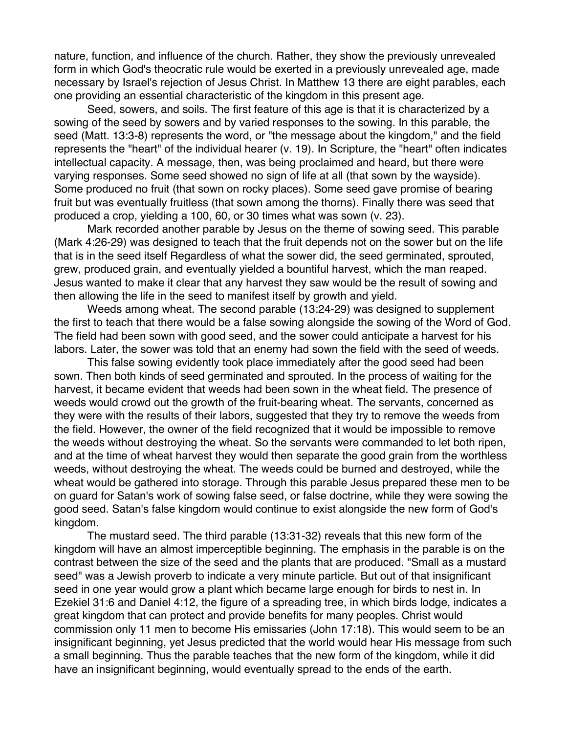nature, function, and influence of the church. Rather, they show the previously unrevealed form in which God's theocratic rule would be exerted in a previously unrevealed age, made necessary by Israel's rejection of Jesus Christ. In Matthew 13 there are eight parables, each one providing an essential characteristic of the kingdom in this present age.

Seed, sowers, and soils. The first feature of this age is that it is characterized by a sowing of the seed by sowers and by varied responses to the sowing. In this parable, the seed (Matt. 13:3-8) represents the word, or "the message about the kingdom," and the field represents the "heart" of the individual hearer (v. 19). In Scripture, the "heart" often indicates intellectual capacity. A message, then, was being proclaimed and heard, but there were varying responses. Some seed showed no sign of life at all (that sown by the wayside). Some produced no fruit (that sown on rocky places). Some seed gave promise of bearing fruit but was eventually fruitless (that sown among the thorns). Finally there was seed that produced a crop, yielding a 100, 60, or 30 times what was sown (v. 23).

Mark recorded another parable by Jesus on the theme of sowing seed. This parable (Mark 4:26-29) was designed to teach that the fruit depends not on the sower but on the life that is in the seed itself Regardless of what the sower did, the seed germinated, sprouted, grew, produced grain, and eventually yielded a bountiful harvest, which the man reaped. Jesus wanted to make it clear that any harvest they saw would be the result of sowing and then allowing the life in the seed to manifest itself by growth and yield.

Weeds among wheat. The second parable (13:24-29) was designed to supplement the first to teach that there would be a false sowing alongside the sowing of the Word of God. The field had been sown with good seed, and the sower could anticipate a harvest for his labors. Later, the sower was told that an enemy had sown the field with the seed of weeds.

This false sowing evidently took place immediately after the good seed had been sown. Then both kinds of seed germinated and sprouted. In the process of waiting for the harvest, it became evident that weeds had been sown in the wheat field. The presence of weeds would crowd out the growth of the fruit-bearing wheat. The servants, concerned as they were with the results of their labors, suggested that they try to remove the weeds from the field. However, the owner of the field recognized that it would be impossible to remove the weeds without destroying the wheat. So the servants were commanded to let both ripen, and at the time of wheat harvest they would then separate the good grain from the worthless weeds, without destroying the wheat. The weeds could be burned and destroyed, while the wheat would be gathered into storage. Through this parable Jesus prepared these men to be on guard for Satan's work of sowing false seed, or false doctrine, while they were sowing the good seed. Satan's false kingdom would continue to exist alongside the new form of God's kingdom.

The mustard seed. The third parable (13:31-32) reveals that this new form of the kingdom will have an almost imperceptible beginning. The emphasis in the parable is on the contrast between the size of the seed and the plants that are produced. "Small as a mustard seed" was a Jewish proverb to indicate a very minute particle. But out of that insignificant seed in one year would grow a plant which became large enough for birds to nest in. In Ezekiel 31:6 and Daniel 4:12, the figure of a spreading tree, in which birds lodge, indicates a great kingdom that can protect and provide benefits for many peoples. Christ would commission only 11 men to become His emissaries (John 17:18). This would seem to be an insignificant beginning, yet Jesus predicted that the world would hear His message from such a small beginning. Thus the parable teaches that the new form of the kingdom, while it did have an insignificant beginning, would eventually spread to the ends of the earth.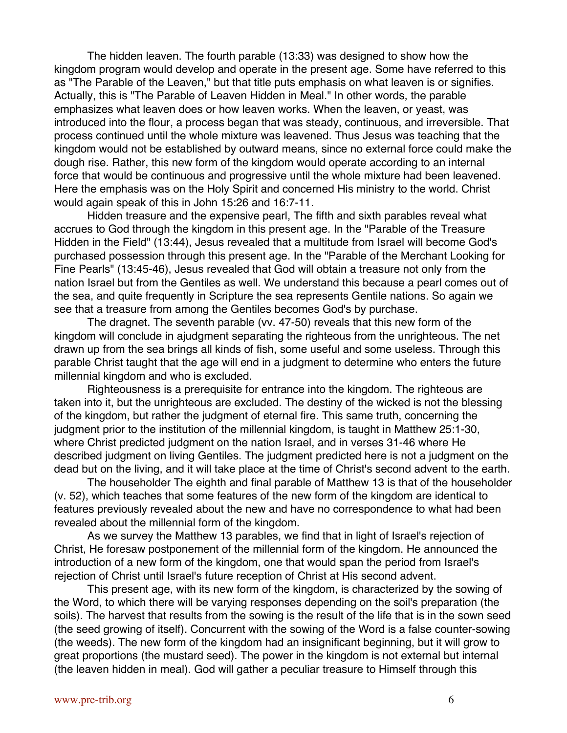The hidden leaven. The fourth parable (13:33) was designed to show how the kingdom program would develop and operate in the present age. Some have referred to this as "The Parable of the Leaven," but that title puts emphasis on what leaven is or signifies. Actually, this is "The Parable of Leaven Hidden in Meal." In other words, the parable emphasizes what leaven does or how leaven works. When the leaven, or yeast, was introduced into the flour, a process began that was steady, continuous, and irreversible. That process continued until the whole mixture was leavened. Thus Jesus was teaching that the kingdom would not be established by outward means, since no external force could make the dough rise. Rather, this new form of the kingdom would operate according to an internal force that would be continuous and progressive until the whole mixture had been leavened. Here the emphasis was on the Holy Spirit and concerned His ministry to the world. Christ would again speak of this in John 15:26 and 16:7-11.

Hidden treasure and the expensive pearl, The fifth and sixth parables reveal what accrues to God through the kingdom in this present age. In the "Parable of the Treasure Hidden in the Field" (13:44), Jesus revealed that a multitude from Israel will become God's purchased possession through this present age. In the "Parable of the Merchant Looking for Fine Pearls" (13:45-46), Jesus revealed that God will obtain a treasure not only from the nation Israel but from the Gentiles as well. We understand this because a pearl comes out of the sea, and quite frequently in Scripture the sea represents Gentile nations. So again we see that a treasure from among the Gentiles becomes God's by purchase.

The dragnet. The seventh parable (vv. 47-50) reveals that this new form of the kingdom will conclude in ajudgment separating the righteous from the unrighteous. The net drawn up from the sea brings all kinds of fish, some useful and some useless. Through this parable Christ taught that the age will end in a judgment to determine who enters the future millennial kingdom and who is excluded.

Righteousness is a prerequisite for entrance into the kingdom. The righteous are taken into it, but the unrighteous are excluded. The destiny of the wicked is not the blessing of the kingdom, but rather the judgment of eternal fire. This same truth, concerning the judgment prior to the institution of the millennial kingdom, is taught in Matthew 25:1-30, where Christ predicted judgment on the nation Israel, and in verses 31-46 where He described judgment on living Gentiles. The judgment predicted here is not a judgment on the dead but on the living, and it will take place at the time of Christ's second advent to the earth.

The householder The eighth and final parable of Matthew 13 is that of the householder (v. 52), which teaches that some features of the new form of the kingdom are identical to features previously revealed about the new and have no correspondence to what had been revealed about the millennial form of the kingdom.

As we survey the Matthew 13 parables, we find that in light of Israel's rejection of Christ, He foresaw postponement of the millennial form of the kingdom. He announced the introduction of a new form of the kingdom, one that would span the period from Israel's rejection of Christ until Israel's future reception of Christ at His second advent.

This present age, with its new form of the kingdom, is characterized by the sowing of the Word, to which there will be varying responses depending on the soil's preparation (the soils). The harvest that results from the sowing is the result of the life that is in the sown seed (the seed growing of itself). Concurrent with the sowing of the Word is a false counter-sowing (the weeds). The new form of the kingdom had an insignificant beginning, but it will grow to great proportions (the mustard seed). The power in the kingdom is not external but internal (the leaven hidden in meal). God will gather a peculiar treasure to Himself through this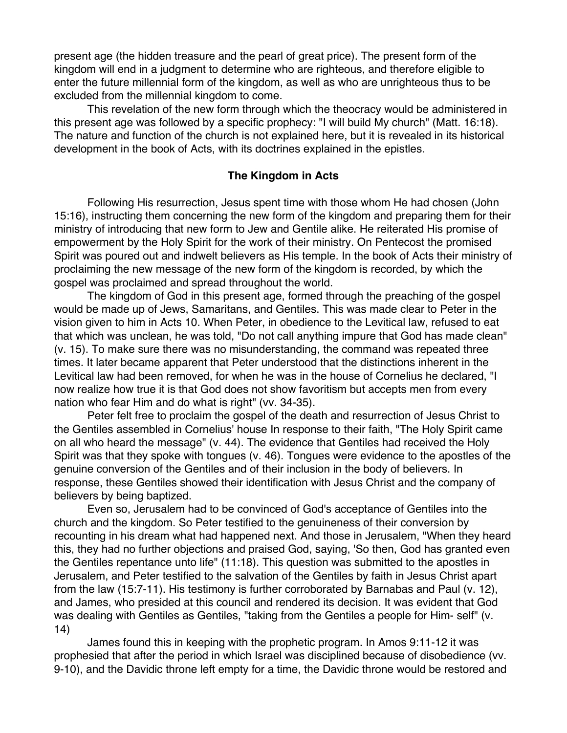present age (the hidden treasure and the pearl of great price). The present form of the kingdom will end in a judgment to determine who are righteous, and therefore eligible to enter the future millennial form of the kingdom, as well as who are unrighteous thus to be excluded from the millennial kingdom to come.

This revelation of the new form through which the theocracy would be administered in this present age was followed by a specific prophecy: "I will build My church" (Matt. 16:18). The nature and function of the church is not explained here, but it is revealed in its historical development in the book of Acts, with its doctrines explained in the epistles.

## **The Kingdom in Acts**

Following His resurrection, Jesus spent time with those whom He had chosen (John 15:16), instructing them concerning the new form of the kingdom and preparing them for their ministry of introducing that new form to Jew and Gentile alike. He reiterated His promise of empowerment by the Holy Spirit for the work of their ministry. On Pentecost the promised Spirit was poured out and indwelt believers as His temple. In the book of Acts their ministry of proclaiming the new message of the new form of the kingdom is recorded, by which the gospel was proclaimed and spread throughout the world.

The kingdom of God in this present age, formed through the preaching of the gospel would be made up of Jews, Samaritans, and Gentiles. This was made clear to Peter in the vision given to him in Acts 10. When Peter, in obedience to the Levitical law, refused to eat that which was unclean, he was told, "Do not call anything impure that God has made clean" (v. 15). To make sure there was no misunderstanding, the command was repeated three times. It later became apparent that Peter understood that the distinctions inherent in the Levitical law had been removed, for when he was in the house of Cornelius he declared, "I now realize how true it is that God does not show favoritism but accepts men from every nation who fear Him and do what is right" (vv. 34-35).

Peter felt free to proclaim the gospel of the death and resurrection of Jesus Christ to the Gentiles assembled in Cornelius' house In response to their faith, "The Holy Spirit came on all who heard the message" (v. 44). The evidence that Gentiles had received the Holy Spirit was that they spoke with tongues (v. 46). Tongues were evidence to the apostles of the genuine conversion of the Gentiles and of their inclusion in the body of believers. In response, these Gentiles showed their identification with Jesus Christ and the company of believers by being baptized.

Even so, Jerusalem had to be convinced of God's acceptance of Gentiles into the church and the kingdom. So Peter testified to the genuineness of their conversion by recounting in his dream what had happened next. And those in Jerusalem, "When they heard this, they had no further objections and praised God, saying, 'So then, God has granted even the Gentiles repentance unto life" (11:18). This question was submitted to the apostles in Jerusalem, and Peter testified to the salvation of the Gentiles by faith in Jesus Christ apart from the law (15:7-11). His testimony is further corroborated by Barnabas and Paul (v. 12), and James, who presided at this council and rendered its decision. It was evident that God was dealing with Gentiles as Gentiles, "taking from the Gentiles a people for Him- self" (v. 14)

James found this in keeping with the prophetic program. In Amos 9:11-12 it was prophesied that after the period in which Israel was disciplined because of disobedience (vv. 9-10), and the Davidic throne left empty for a time, the Davidic throne would be restored and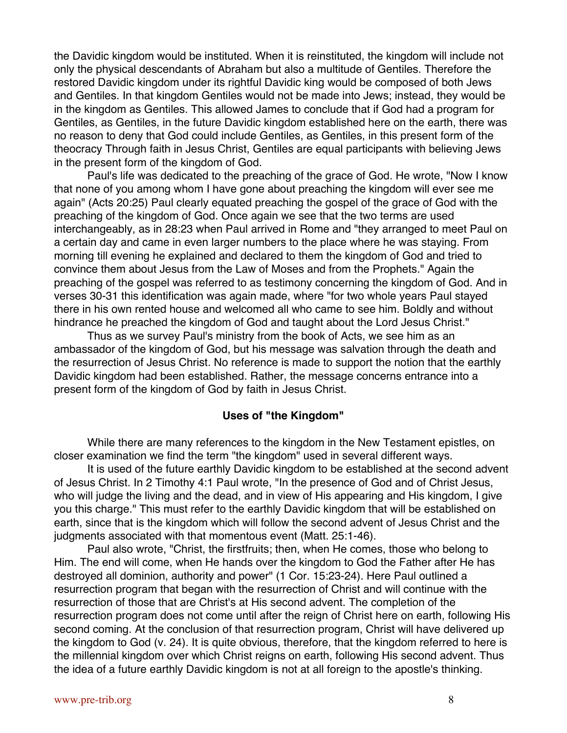the Davidic kingdom would be instituted. When it is reinstituted, the kingdom will include not only the physical descendants of Abraham but also a multitude of Gentiles. Therefore the restored Davidic kingdom under its rightful Davidic king would be composed of both Jews and Gentiles. In that kingdom Gentiles would not be made into Jews; instead, they would be in the kingdom as Gentiles. This allowed James to conclude that if God had a program for Gentiles, as Gentiles, in the future Davidic kingdom established here on the earth, there was no reason to deny that God could include Gentiles, as Gentiles, in this present form of the theocracy Through faith in Jesus Christ, Gentiles are equal participants with believing Jews in the present form of the kingdom of God.

Paul's life was dedicated to the preaching of the grace of God. He wrote, "Now I know that none of you among whom I have gone about preaching the kingdom will ever see me again" (Acts 20:25) Paul clearly equated preaching the gospel of the grace of God with the preaching of the kingdom of God. Once again we see that the two terms are used interchangeably, as in 28:23 when Paul arrived in Rome and "they arranged to meet Paul on a certain day and came in even larger numbers to the place where he was staying. From morning till evening he explained and declared to them the kingdom of God and tried to convince them about Jesus from the Law of Moses and from the Prophets." Again the preaching of the gospel was referred to as testimony concerning the kingdom of God. And in verses 30-31 this identification was again made, where "for two whole years Paul stayed there in his own rented house and welcomed all who came to see him. Boldly and without hindrance he preached the kingdom of God and taught about the Lord Jesus Christ."

Thus as we survey Paul's ministry from the book of Acts, we see him as an ambassador of the kingdom of God, but his message was salvation through the death and the resurrection of Jesus Christ. No reference is made to support the notion that the earthly Davidic kingdom had been established. Rather, the message concerns entrance into a present form of the kingdom of God by faith in Jesus Christ.

## **Uses of "the Kingdom"**

While there are many references to the kingdom in the New Testament epistles, on closer examination we find the term "the kingdom" used in several different ways.

It is used of the future earthly Davidic kingdom to be established at the second advent of Jesus Christ. In 2 Timothy 4:1 Paul wrote, "In the presence of God and of Christ Jesus, who will judge the living and the dead, and in view of His appearing and His kingdom, I give you this charge." This must refer to the earthly Davidic kingdom that will be established on earth, since that is the kingdom which will follow the second advent of Jesus Christ and the judgments associated with that momentous event (Matt. 25:1-46).

Paul also wrote, "Christ, the firstfruits; then, when He comes, those who belong to Him. The end will come, when He hands over the kingdom to God the Father after He has destroyed all dominion, authority and power" (1 Cor. 15:23-24). Here Paul outlined a resurrection program that began with the resurrection of Christ and will continue with the resurrection of those that are Christ's at His second advent. The completion of the resurrection program does not come until after the reign of Christ here on earth, following His second coming. At the conclusion of that resurrection program, Christ will have delivered up the kingdom to God (v. 24). It is quite obvious, therefore, that the kingdom referred to here is the millennial kingdom over which Christ reigns on earth, following His second advent. Thus the idea of a future earthly Davidic kingdom is not at all foreign to the apostle's thinking.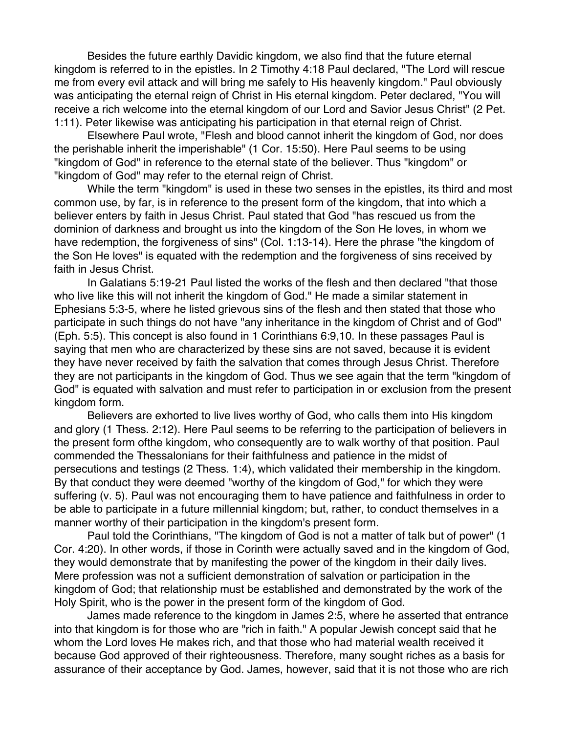Besides the future earthly Davidic kingdom, we also find that the future eternal kingdom is referred to in the epistles. In 2 Timothy 4:18 Paul declared, "The Lord will rescue me from every evil attack and will bring me safely to His heavenly kingdom." Paul obviously was anticipating the eternal reign of Christ in His eternal kingdom. Peter declared, "You will receive a rich welcome into the eternal kingdom of our Lord and Savior Jesus Christ" (2 Pet. 1:11). Peter likewise was anticipating his participation in that eternal reign of Christ.

Elsewhere Paul wrote, "Flesh and blood cannot inherit the kingdom of God, nor does the perishable inherit the imperishable" (1 Cor. 15:50). Here Paul seems to be using "kingdom of God" in reference to the eternal state of the believer. Thus "kingdom" or "kingdom of God" may refer to the eternal reign of Christ.

While the term "kingdom" is used in these two senses in the epistles, its third and most common use, by far, is in reference to the present form of the kingdom, that into which a believer enters by faith in Jesus Christ. Paul stated that God "has rescued us from the dominion of darkness and brought us into the kingdom of the Son He loves, in whom we have redemption, the forgiveness of sins" (Col. 1:13-14). Here the phrase "the kingdom of the Son He loves" is equated with the redemption and the forgiveness of sins received by faith in Jesus Christ.

In Galatians 5:19-21 Paul listed the works of the flesh and then declared "that those who live like this will not inherit the kingdom of God." He made a similar statement in Ephesians 5:3-5, where he listed grievous sins of the flesh and then stated that those who participate in such things do not have "any inheritance in the kingdom of Christ and of God" (Eph. 5:5). This concept is also found in 1 Corinthians 6:9,10. In these passages Paul is saying that men who are characterized by these sins are not saved, because it is evident they have never received by faith the salvation that comes through Jesus Christ. Therefore they are not participants in the kingdom of God. Thus we see again that the term "kingdom of God" is equated with salvation and must refer to participation in or exclusion from the present kingdom form.

Believers are exhorted to live lives worthy of God, who calls them into His kingdom and glory (1 Thess. 2:12). Here Paul seems to be referring to the participation of believers in the present form ofthe kingdom, who consequently are to walk worthy of that position. Paul commended the Thessalonians for their faithfulness and patience in the midst of persecutions and testings (2 Thess. 1:4), which validated their membership in the kingdom. By that conduct they were deemed "worthy of the kingdom of God," for which they were suffering (v. 5). Paul was not encouraging them to have patience and faithfulness in order to be able to participate in a future millennial kingdom; but, rather, to conduct themselves in a manner worthy of their participation in the kingdom's present form.

Paul told the Corinthians, "The kingdom of God is not a matter of talk but of power" (1 Cor. 4:20). In other words, if those in Corinth were actually saved and in the kingdom of God, they would demonstrate that by manifesting the power of the kingdom in their daily lives. Mere profession was not a sufficient demonstration of salvation or participation in the kingdom of God; that relationship must be established and demonstrated by the work of the Holy Spirit, who is the power in the present form of the kingdom of God.

James made reference to the kingdom in James 2:5, where he asserted that entrance into that kingdom is for those who are "rich in faith." A popular Jewish concept said that he whom the Lord loves He makes rich, and that those who had material wealth received it because God approved of their righteousness. Therefore, many sought riches as a basis for assurance of their acceptance by God. James, however, said that it is not those who are rich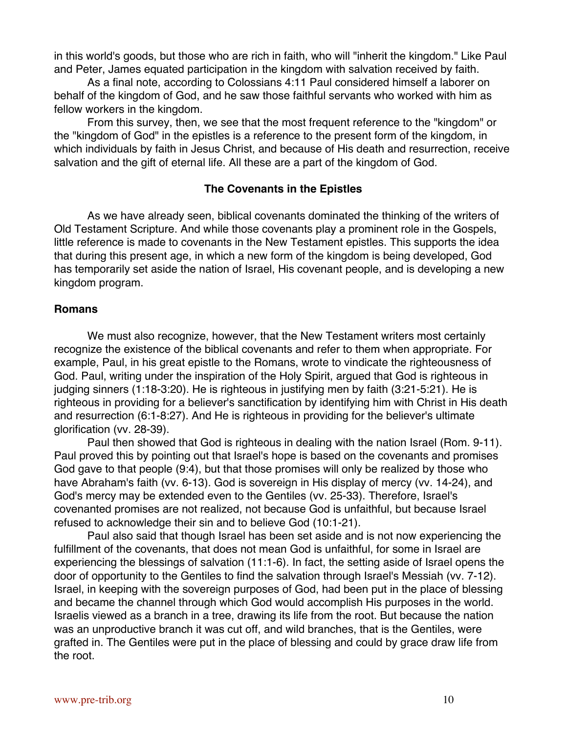in this world's goods, but those who are rich in faith, who will "inherit the kingdom." Like Paul and Peter, James equated participation in the kingdom with salvation received by faith.

As a final note, according to Colossians 4:11 Paul considered himself a laborer on behalf of the kingdom of God, and he saw those faithful servants who worked with him as fellow workers in the kingdom.

From this survey, then, we see that the most frequent reference to the "kingdom" or the "kingdom of God" in the epistles is a reference to the present form of the kingdom, in which individuals by faith in Jesus Christ, and because of His death and resurrection, receive salvation and the gift of eternal life. All these are a part of the kingdom of God.

## **The Covenants in the Epistles**

As we have already seen, biblical covenants dominated the thinking of the writers of Old Testament Scripture. And while those covenants play a prominent role in the Gospels, little reference is made to covenants in the New Testament epistles. This supports the idea that during this present age, in which a new form of the kingdom is being developed, God has temporarily set aside the nation of Israel, His covenant people, and is developing a new kingdom program.

## **Romans**

We must also recognize, however, that the New Testament writers most certainly recognize the existence of the biblical covenants and refer to them when appropriate. For example, Paul, in his great epistle to the Romans, wrote to vindicate the righteousness of God. Paul, writing under the inspiration of the Holy Spirit, argued that God is righteous in judging sinners (1:18-3:20). He is righteous in justifying men by faith (3:21-5:21). He is righteous in providing for a believer's sanctification by identifying him with Christ in His death and resurrection (6:1-8:27). And He is righteous in providing for the believer's ultimate glorification (vv. 28-39).

Paul then showed that God is righteous in dealing with the nation Israel (Rom. 9-11). Paul proved this by pointing out that Israel's hope is based on the covenants and promises God gave to that people (9:4), but that those promises will only be realized by those who have Abraham's faith (vv. 6-13). God is sovereign in His display of mercy (vv. 14-24), and God's mercy may be extended even to the Gentiles (vv. 25-33). Therefore, Israel's covenanted promises are not realized, not because God is unfaithful, but because Israel refused to acknowledge their sin and to believe God (10:1-21).

Paul also said that though Israel has been set aside and is not now experiencing the fulfillment of the covenants, that does not mean God is unfaithful, for some in Israel are experiencing the blessings of salvation (11:1-6). In fact, the setting aside of Israel opens the door of opportunity to the Gentiles to find the salvation through Israel's Messiah (vv. 7-12). Israel, in keeping with the sovereign purposes of God, had been put in the place of blessing and became the channel through which God would accomplish His purposes in the world. Israelis viewed as a branch in a tree, drawing its life from the root. But because the nation was an unproductive branch it was cut off, and wild branches, that is the Gentiles, were grafted in. The Gentiles were put in the place of blessing and could by grace draw life from the root.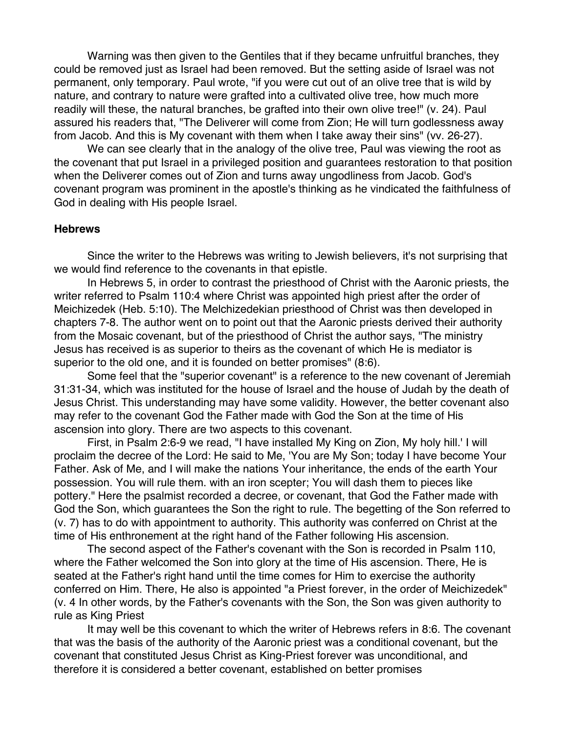Warning was then given to the Gentiles that if they became unfruitful branches, they could be removed just as Israel had been removed. But the setting aside of Israel was not permanent, only temporary. Paul wrote, "if you were cut out of an olive tree that is wild by nature, and contrary to nature were grafted into a cultivated olive tree, how much more readily will these, the natural branches, be grafted into their own olive tree!" (v. 24). Paul assured his readers that, "The Deliverer will come from Zion; He will turn godlessness away from Jacob. And this is My covenant with them when I take away their sins" (vv. 26-27).

We can see clearly that in the analogy of the olive tree, Paul was viewing the root as the covenant that put Israel in a privileged position and guarantees restoration to that position when the Deliverer comes out of Zion and turns away ungodliness from Jacob. God's covenant program was prominent in the apostle's thinking as he vindicated the faithfulness of God in dealing with His people Israel.

#### **Hebrews**

Since the writer to the Hebrews was writing to Jewish believers, it's not surprising that we would find reference to the covenants in that epistle.

In Hebrews 5, in order to contrast the priesthood of Christ with the Aaronic priests, the writer referred to Psalm 110:4 where Christ was appointed high priest after the order of Meichizedek (Heb. 5:10). The Melchizedekian priesthood of Christ was then developed in chapters 7-8. The author went on to point out that the Aaronic priests derived their authority from the Mosaic covenant, but of the priesthood of Christ the author says, "The ministry Jesus has received is as superior to theirs as the covenant of which He is mediator is superior to the old one, and it is founded on better promises" (8:6).

Some feel that the "superior covenant" is a reference to the new covenant of Jeremiah 31:31-34, which was instituted for the house of Israel and the house of Judah by the death of Jesus Christ. This understanding may have some validity. However, the better covenant also may refer to the covenant God the Father made with God the Son at the time of His ascension into glory. There are two aspects to this covenant.

First, in Psalm 2:6-9 we read, "I have installed My King on Zion, My holy hill.' I will proclaim the decree of the Lord: He said to Me, 'You are My Son; today I have become Your Father. Ask of Me, and I will make the nations Your inheritance, the ends of the earth Your possession. You will rule them. with an iron scepter; You will dash them to pieces like pottery." Here the psalmist recorded a decree, or covenant, that God the Father made with God the Son, which guarantees the Son the right to rule. The begetting of the Son referred to (v. 7) has to do with appointment to authority. This authority was conferred on Christ at the time of His enthronement at the right hand of the Father following His ascension.

The second aspect of the Father's covenant with the Son is recorded in Psalm 110, where the Father welcomed the Son into glory at the time of His ascension. There, He is seated at the Father's right hand until the time comes for Him to exercise the authority conferred on Him. There, He also is appointed "a Priest forever, in the order of Meichizedek" (v. 4 In other words, by the Father's covenants with the Son, the Son was given authority to rule as King Priest

It may well be this covenant to which the writer of Hebrews refers in 8:6. The covenant that was the basis of the authority of the Aaronic priest was a conditional covenant, but the covenant that constituted Jesus Christ as King-Priest forever was unconditional, and therefore it is considered a better covenant, established on better promises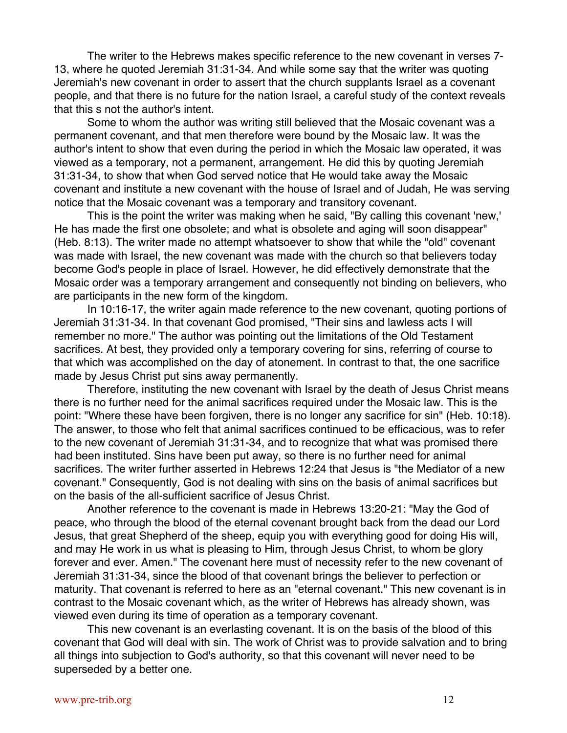The writer to the Hebrews makes specific reference to the new covenant in verses 7- 13, where he quoted Jeremiah 31:31-34. And while some say that the writer was quoting Jeremiah's new covenant in order to assert that the church supplants Israel as a covenant people, and that there is no future for the nation Israel, a careful study of the context reveals that this s not the author's intent.

Some to whom the author was writing still believed that the Mosaic covenant was a permanent covenant, and that men therefore were bound by the Mosaic law. It was the author's intent to show that even during the period in which the Mosaic law operated, it was viewed as a temporary, not a permanent, arrangement. He did this by quoting Jeremiah 31:31-34, to show that when God served notice that He would take away the Mosaic covenant and institute a new covenant with the house of Israel and of Judah, He was serving notice that the Mosaic covenant was a temporary and transitory covenant.

This is the point the writer was making when he said, "By calling this covenant 'new,' He has made the first one obsolete; and what is obsolete and aging will soon disappear" (Heb. 8:13). The writer made no attempt whatsoever to show that while the "old" covenant was made with Israel, the new covenant was made with the church so that believers today become God's people in place of Israel. However, he did effectively demonstrate that the Mosaic order was a temporary arrangement and consequently not binding on believers, who are participants in the new form of the kingdom.

In 10:16-17, the writer again made reference to the new covenant, quoting portions of Jeremiah 31:31-34. In that covenant God promised, "Their sins and lawless acts I will remember no more." The author was pointing out the limitations of the Old Testament sacrifices. At best, they provided only a temporary covering for sins, referring of course to that which was accomplished on the day of atonement. In contrast to that, the one sacrifice made by Jesus Christ put sins away permanently.

Therefore, instituting the new covenant with Israel by the death of Jesus Christ means there is no further need for the animal sacrifices required under the Mosaic law. This is the point: "Where these have been forgiven, there is no longer any sacrifice for sin" (Heb. 10:18). The answer, to those who felt that animal sacrifices continued to be efficacious, was to refer to the new covenant of Jeremiah 31:31-34, and to recognize that what was promised there had been instituted. Sins have been put away, so there is no further need for animal sacrifices. The writer further asserted in Hebrews 12:24 that Jesus is "the Mediator of a new covenant." Consequently, God is not dealing with sins on the basis of animal sacrifices but on the basis of the all-sufficient sacrifice of Jesus Christ.

Another reference to the covenant is made in Hebrews 13:20-21: "May the God of peace, who through the blood of the eternal covenant brought back from the dead our Lord Jesus, that great Shepherd of the sheep, equip you with everything good for doing His will, and may He work in us what is pleasing to Him, through Jesus Christ, to whom be glory forever and ever. Amen." The covenant here must of necessity refer to the new covenant of Jeremiah 31:31-34, since the blood of that covenant brings the believer to perfection or maturity. That covenant is referred to here as an "eternal covenant." This new covenant is in contrast to the Mosaic covenant which, as the writer of Hebrews has already shown, was viewed even during its time of operation as a temporary covenant.

This new covenant is an everlasting covenant. It is on the basis of the blood of this covenant that God will deal with sin. The work of Christ was to provide salvation and to bring all things into subjection to God's authority, so that this covenant will never need to be superseded by a better one.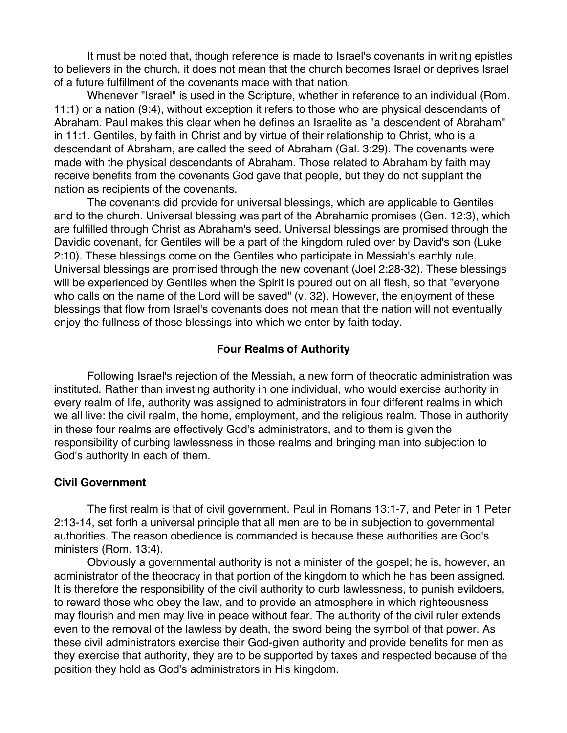It must be noted that, though reference is made to Israel's covenants in writing epistles to believers in the church, it does not mean that the church becomes Israel or deprives Israel of a future fulfillment of the covenants made with that nation.

Whenever "Israel" is used in the Scripture, whether in reference to an individual (Rom. 11:1) or a nation (9:4), without exception it refers to those who are physical descendants of Abraham. Paul makes this clear when he defines an Israelite as "a descendent of Abraham" in 11:1. Gentiles, by faith in Christ and by virtue of their relationship to Christ, who is a descendant of Abraham, are called the seed of Abraham (Gal. 3:29). The covenants were made with the physical descendants of Abraham. Those related to Abraham by faith may receive benefits from the covenants God gave that people, but they do not supplant the nation as recipients of the covenants.

The covenants did provide for universal blessings, which are applicable to Gentiles and to the church. Universal blessing was part of the Abrahamic promises (Gen. 12:3), which are fulfilled through Christ as Abraham's seed. Universal blessings are promised through the Davidic covenant, for Gentiles will be a part of the kingdom ruled over by David's son (Luke 2:10). These blessings come on the Gentiles who participate in Messiah's earthly rule. Universal blessings are promised through the new covenant (Joel 2:28-32). These blessings will be experienced by Gentiles when the Spirit is poured out on all flesh, so that "everyone who calls on the name of the Lord will be saved" (v. 32). However, the enjoyment of these blessings that flow from Israel's covenants does not mean that the nation will not eventually enjoy the fullness of those blessings into which we enter by faith today.

## **Four Realms of Authority**

Following Israel's rejection of the Messiah, a new form of theocratic administration was instituted. Rather than investing authority in one individual, who would exercise authority in every realm of life, authority was assigned to administrators in four different realms in which we all live: the civil realm, the home, employment, and the religious realm. Those in authority in these four realms are effectively God's administrators, and to them is given the responsibility of curbing lawlessness in those realms and bringing man into subjection to God's authority in each of them.

#### **Civil Government**

The first realm is that of civil government. Paul in Romans 13:1-7, and Peter in 1 Peter 2:13-14, set forth a universal principle that all men are to be in subjection to governmental authorities. The reason obedience is commanded is because these authorities are God's ministers (Rom. 13:4).

Obviously a governmental authority is not a minister of the gospel; he is, however, an administrator of the theocracy in that portion of the kingdom to which he has been assigned. It is therefore the responsibility of the civil authority to curb lawlessness, to punish evildoers, to reward those who obey the law, and to provide an atmosphere in which righteousness may flourish and men may live in peace without fear. The authority of the civil ruler extends even to the removal of the lawless by death, the sword being the symbol of that power. As these civil administrators exercise their God-given authority and provide benefits for men as they exercise that authority, they are to be supported by taxes and respected because of the position they hold as God's administrators in His kingdom.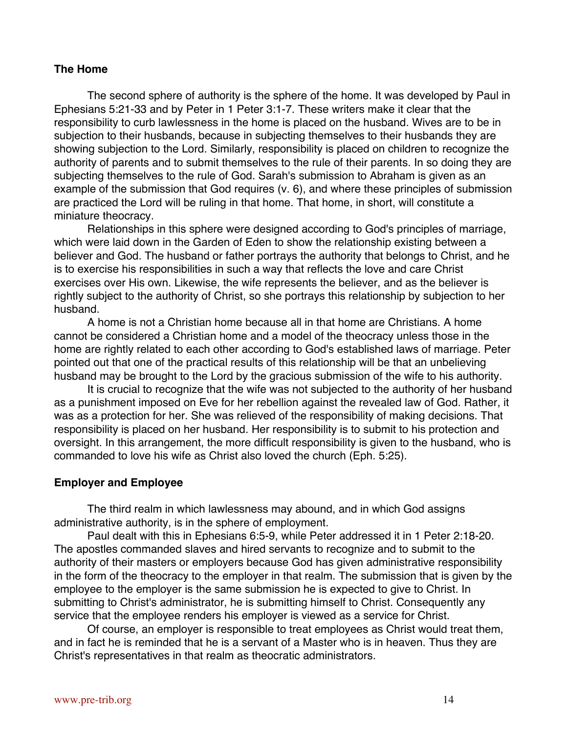## **The Home**

The second sphere of authority is the sphere of the home. It was developed by Paul in Ephesians 5:21-33 and by Peter in 1 Peter 3:1-7. These writers make it clear that the responsibility to curb lawlessness in the home is placed on the husband. Wives are to be in subjection to their husbands, because in subjecting themselves to their husbands they are showing subjection to the Lord. Similarly, responsibility is placed on children to recognize the authority of parents and to submit themselves to the rule of their parents. In so doing they are subjecting themselves to the rule of God. Sarah's submission to Abraham is given as an example of the submission that God requires (v. 6), and where these principles of submission are practiced the Lord will be ruling in that home. That home, in short, will constitute a miniature theocracy.

Relationships in this sphere were designed according to God's principles of marriage, which were laid down in the Garden of Eden to show the relationship existing between a believer and God. The husband or father portrays the authority that belongs to Christ, and he is to exercise his responsibilities in such a way that reflects the love and care Christ exercises over His own. Likewise, the wife represents the believer, and as the believer is rightly subject to the authority of Christ, so she portrays this relationship by subjection to her husband.

A home is not a Christian home because all in that home are Christians. A home cannot be considered a Christian home and a model of the theocracy unless those in the home are rightly related to each other according to God's established laws of marriage. Peter pointed out that one of the practical results of this relationship will be that an unbelieving husband may be brought to the Lord by the gracious submission of the wife to his authority.

It is crucial to recognize that the wife was not subjected to the authority of her husband as a punishment imposed on Eve for her rebellion against the revealed law of God. Rather, it was as a protection for her. She was relieved of the responsibility of making decisions. That responsibility is placed on her husband. Her responsibility is to submit to his protection and oversight. In this arrangement, the more difficult responsibility is given to the husband, who is commanded to love his wife as Christ also loved the church (Eph. 5:25).

#### **Employer and Employee**

The third realm in which lawlessness may abound, and in which God assigns administrative authority, is in the sphere of employment.

Paul dealt with this in Ephesians 6:5-9, while Peter addressed it in 1 Peter 2:18-20. The apostles commanded slaves and hired servants to recognize and to submit to the authority of their masters or employers because God has given administrative responsibility in the form of the theocracy to the employer in that realm. The submission that is given by the employee to the employer is the same submission he is expected to give to Christ. In submitting to Christ's administrator, he is submitting himself to Christ. Consequently any service that the employee renders his employer is viewed as a service for Christ.

Of course, an employer is responsible to treat employees as Christ would treat them, and in fact he is reminded that he is a servant of a Master who is in heaven. Thus they are Christ's representatives in that realm as theocratic administrators.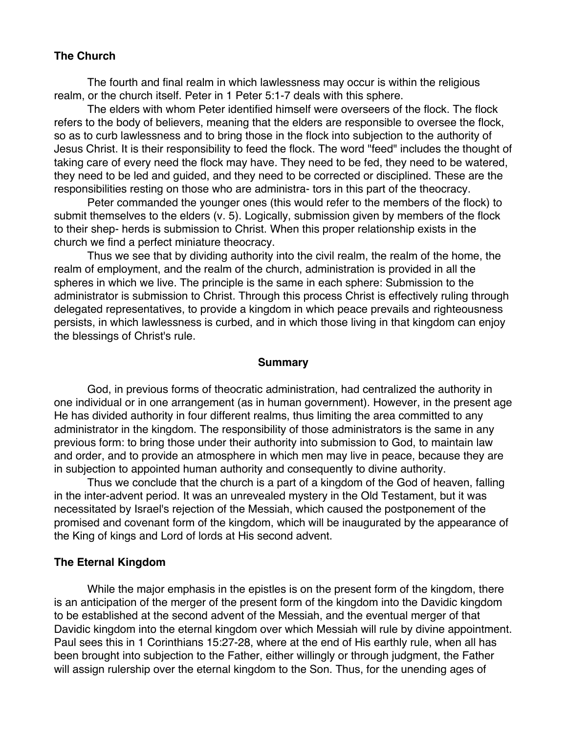# **The Church**

The fourth and final realm in which lawlessness may occur is within the religious realm, or the church itself. Peter in 1 Peter 5:1-7 deals with this sphere.

The elders with whom Peter identified himself were overseers of the flock. The flock refers to the body of believers, meaning that the elders are responsible to oversee the flock, so as to curb lawlessness and to bring those in the flock into subjection to the authority of Jesus Christ. It is their responsibility to feed the flock. The word "feed" includes the thought of taking care of every need the flock may have. They need to be fed, they need to be watered, they need to be led and guided, and they need to be corrected or disciplined. These are the responsibilities resting on those who are administra- tors in this part of the theocracy.

Peter commanded the younger ones (this would refer to the members of the flock) to submit themselves to the elders (v. 5). Logically, submission given by members of the flock to their shep- herds is submission to Christ. When this proper relationship exists in the church we find a perfect miniature theocracy.

Thus we see that by dividing authority into the civil realm, the realm of the home, the realm of employment, and the realm of the church, administration is provided in all the spheres in which we live. The principle is the same in each sphere: Submission to the administrator is submission to Christ. Through this process Christ is effectively ruling through delegated representatives, to provide a kingdom in which peace prevails and righteousness persists, in which lawlessness is curbed, and in which those living in that kingdom can enjoy the blessings of Christ's rule.

## **Summary**

God, in previous forms of theocratic administration, had centralized the authority in one individual or in one arrangement (as in human government). However, in the present age He has divided authority in four different realms, thus limiting the area committed to any administrator in the kingdom. The responsibility of those administrators is the same in any previous form: to bring those under their authority into submission to God, to maintain law and order, and to provide an atmosphere in which men may live in peace, because they are in subjection to appointed human authority and consequently to divine authority.

Thus we conclude that the church is a part of a kingdom of the God of heaven, falling in the inter-advent period. It was an unrevealed mystery in the Old Testament, but it was necessitated by Israel's rejection of the Messiah, which caused the postponement of the promised and covenant form of the kingdom, which will be inaugurated by the appearance of the King of kings and Lord of lords at His second advent.

# **The Eternal Kingdom**

While the major emphasis in the epistles is on the present form of the kingdom, there is an anticipation of the merger of the present form of the kingdom into the Davidic kingdom to be established at the second advent of the Messiah, and the eventual merger of that Davidic kingdom into the eternal kingdom over which Messiah will rule by divine appointment. Paul sees this in 1 Corinthians 15:27-28, where at the end of His earthly rule, when all has been brought into subjection to the Father, either willingly or through judgment, the Father will assign rulership over the eternal kingdom to the Son. Thus, for the unending ages of